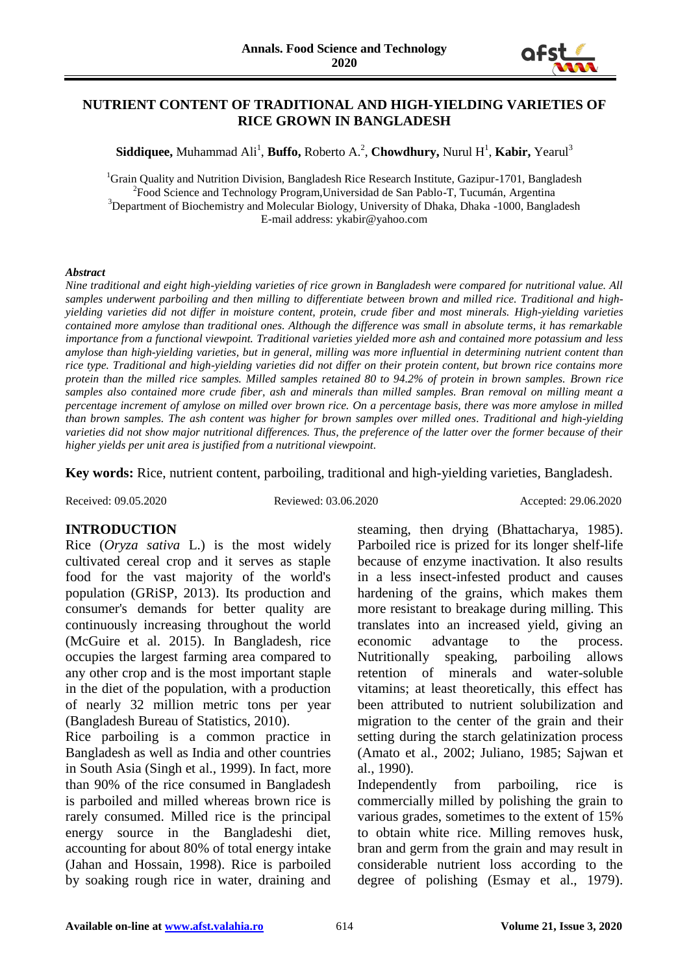

#### **NUTRIENT CONTENT OF TRADITIONAL AND HIGH-YIELDING VARIETIES OF RICE GROWN IN BANGLADESH**

 $\mathbf{S}$ **iddiquee,** Muhammad Ali<sup>1</sup>, **Buffo,** Roberto A.<sup>2</sup>, Chowdhury, Nurul H<sup>1</sup>, **Kabir,** Yearul<sup>3</sup>

<sup>1</sup>Grain Quality and Nutrition Division, Bangladesh Rice Research Institute, Gazipur-1701, Bangladesh <sup>2</sup> Food Science and Technology Program, Universidad de San Pablo-T, Tucumán, Argentina <sup>3</sup>Department of Biochemistry and Molecular Biology, University of Dhaka, Dhaka -1000, Bangladesh E-mail address: [ykabir@yahoo.com](mailto:ykabir@yahoo.com)

#### *Abstract*

*Nine traditional and eight high-yielding varieties of rice grown in Bangladesh were compared for nutritional value. All samples underwent parboiling and then milling to differentiate between brown and milled rice. Traditional and highyielding varieties did not differ in moisture content, protein, crude fiber and most minerals. High-yielding varieties contained more amylose than traditional ones. Although the difference was small in absolute terms, it has remarkable importance from a functional viewpoint. Traditional varieties yielded more ash and contained more potassium and less amylose than high-yielding varieties, but in general, milling was more influential in determining nutrient content than rice type. Traditional and high-yielding varieties did not differ on their protein content, but brown rice contains more protein than the milled rice samples. Milled samples retained 80 to 94.2% of protein in brown samples. Brown rice samples also contained more crude fiber, ash and minerals than milled samples. Bran removal on milling meant a percentage increment of amylose on milled over brown rice. On a percentage basis, there was more amylose in milled than brown samples. The ash content was higher for brown samples over milled ones. Traditional and high-yielding varieties did not show major nutritional differences. Thus, the preference of the latter over the former because of their higher yields per unit area is justified from a nutritional viewpoint.*

**Key words:** Rice, nutrient content, parboiling, traditional and high-yielding varieties, Bangladesh.

Received: 09.05.2020 Reviewed: 03.06.2020 Accepted: 29.06.2020

#### **INTRODUCTION**

Rice (*Oryza sativa* L.) is the most widely cultivated cereal crop and it serves as staple food for the vast majority of the world's population (GRiSP, 2013). Its production and consumer's demands for better quality are continuously increasing throughout the world (McGuire et al. 2015). In Bangladesh, rice occupies the largest farming area compared to any other crop and is the most important staple in the diet of the population, with a production of nearly 32 million metric tons per year (Bangladesh Bureau of Statistics, 2010).

Rice parboiling is a common practice in Bangladesh as well as India and other countries in South Asia (Singh et al., 1999). In fact, more than 90% of the rice consumed in Bangladesh is parboiled and milled whereas brown rice is rarely consumed. Milled rice is the principal energy source in the Bangladeshi diet, accounting for about 80% of total energy intake (Jahan and Hossain, 1998). Rice is parboiled by soaking rough rice in water, draining and steaming, then drying (Bhattacharya, 1985). Parboiled rice is prized for its longer shelf-life because of enzyme inactivation. It also results in a less insect-infested product and causes hardening of the grains, which makes them more resistant to breakage during milling. This translates into an increased yield, giving an economic advantage to the process. Nutritionally speaking, parboiling allows retention of minerals and water-soluble vitamins; at least theoretically, this effect has been attributed to nutrient solubilization and migration to the center of the grain and their setting during the starch gelatinization process (Amato et al., 2002; Juliano, 1985; Sajwan et al., 1990).

Independently from parboiling, rice is commercially milled by polishing the grain to various grades, sometimes to the extent of 15% to obtain white rice. Milling removes husk, bran and germ from the grain and may result in considerable nutrient loss according to the degree of polishing (Esmay et al., 1979).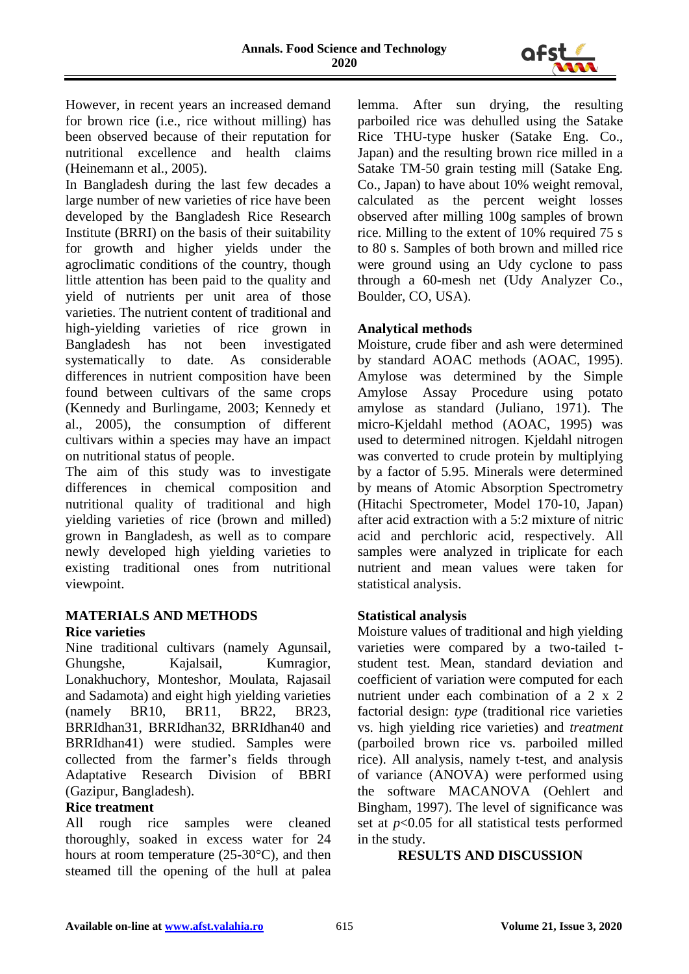

However, in recent years an increased demand for brown rice (i.e., rice without milling) has been observed because of their reputation for nutritional excellence and health claims (Heinemann et al., 2005).

In Bangladesh during the last few decades a large number of new varieties of rice have been developed by the Bangladesh Rice Research Institute (BRRI) on the basis of their suitability for growth and higher yields under the agroclimatic conditions of the country, though little attention has been paid to the quality and yield of nutrients per unit area of those varieties. The nutrient content of traditional and high-yielding varieties of rice grown in Bangladesh has not been investigated systematically to date. As considerable differences in nutrient composition have been found between cultivars of the same crops (Kennedy and Burlingame, 2003; Kennedy et al., 2005), the consumption of different cultivars within a species may have an impact on nutritional status of people.

The aim of this study was to investigate differences in chemical composition and nutritional quality of traditional and high yielding varieties of rice (brown and milled) grown in Bangladesh, as well as to compare newly developed high yielding varieties to existing traditional ones from nutritional viewpoint.

# **MATERIALS AND METHODS**

#### **Rice varieties**

Nine traditional cultivars (namely Agunsail, Ghungshe, Kajalsail, Kumragior, Lonakhuchory, Monteshor, Moulata, Rajasail and Sadamota) and eight high yielding varieties (namely BR10, BR11, BR22, BR23, BRRIdhan31, BRRIdhan32, BRRIdhan40 and BRRIdhan41) were studied. Samples were collected from the farmer's fields through Adaptative Research Division of BBRI (Gazipur, Bangladesh).

#### **Rice treatment**

All rough rice samples were cleaned thoroughly, soaked in excess water for 24 hours at room temperature (25-30°C), and then steamed till the opening of the hull at palea lemma. After sun drying, the resulting parboiled rice was dehulled using the Satake Rice THU-type husker (Satake Eng. Co., Japan) and the resulting brown rice milled in a Satake TM-50 grain testing mill (Satake Eng. Co., Japan) to have about 10% weight removal, calculated as the percent weight losses observed after milling 100g samples of brown rice. Milling to the extent of 10% required 75 s to 80 s. Samples of both brown and milled rice were ground using an Udy cyclone to pass through a 60-mesh net (Udy Analyzer Co., Boulder, CO, USA).

## **Analytical methods**

Moisture, crude fiber and ash were determined by standard AOAC methods (AOAC, 1995). Amylose was determined by the Simple Amylose Assay Procedure using potato amylose as standard (Juliano, 1971). The micro-Kjeldahl method (AOAC, 1995) was used to determined nitrogen. Kjeldahl nitrogen was converted to crude protein by multiplying by a factor of 5.95. Minerals were determined by means of Atomic Absorption Spectrometry (Hitachi Spectrometer, Model 170-10, Japan) after acid extraction with a 5:2 mixture of nitric acid and perchloric acid, respectively. All samples were analyzed in triplicate for each nutrient and mean values were taken for statistical analysis.

## **Statistical analysis**

Moisture values of traditional and high yielding varieties were compared by a two-tailed tstudent test. Mean, standard deviation and coefficient of variation were computed for each nutrient under each combination of a 2 x 2 factorial design: *type* (traditional rice varieties vs. high yielding rice varieties) and *treatment* (parboiled brown rice vs. parboiled milled rice). All analysis, namely t-test, and analysis of variance (ANOVA) were performed using the software MACANOVA (Oehlert and Bingham, 1997). The level of significance was set at *p*<0.05 for all statistical tests performed in the study.

## **RESULTS AND DISCUSSION**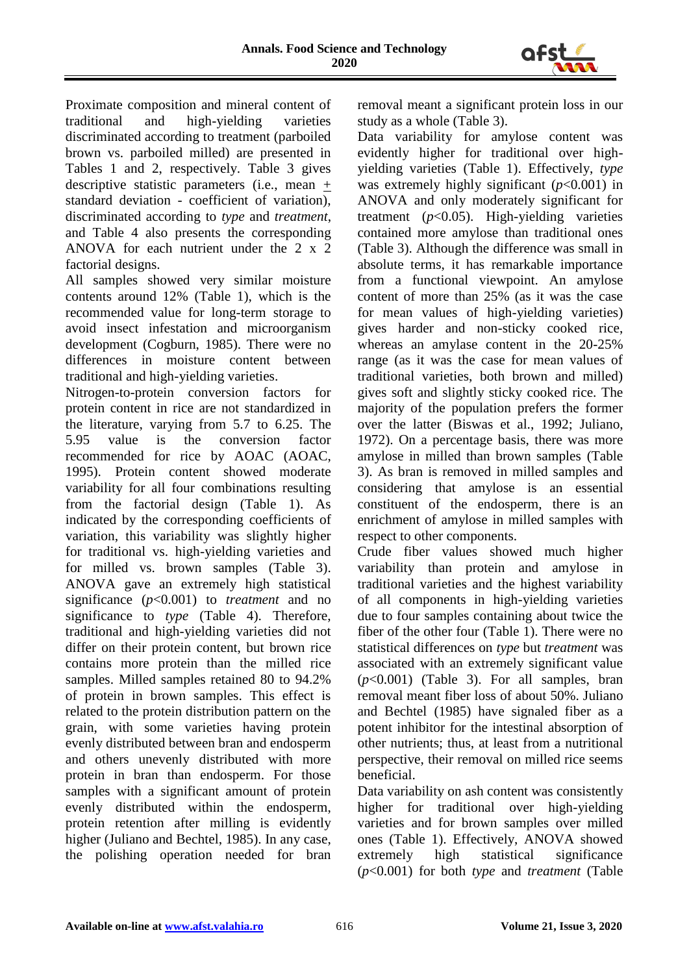

Proximate composition and mineral content of traditional and high-yielding varieties discriminated according to treatment (parboiled brown vs. parboiled milled) are presented in Tables 1 and 2, respectively. Table 3 gives descriptive statistic parameters (i.e., mean + standard deviation - coefficient of variation), discriminated according to *type* and *treatment*, and Table 4 also presents the corresponding ANOVA for each nutrient under the 2 x 2 factorial designs.

All samples showed very similar moisture contents around 12% (Table 1), which is the recommended value for long-term storage to avoid insect infestation and microorganism development (Cogburn, 1985). There were no differences in moisture content between traditional and high-yielding varieties.

Nitrogen-to-protein conversion factors for protein content in rice are not standardized in the literature, varying from 5.7 to 6.25. The 5.95 value is the conversion factor recommended for rice by AOAC (AOAC, 1995). Protein content showed moderate variability for all four combinations resulting from the factorial design (Table 1). As indicated by the corresponding coefficients of variation, this variability was slightly higher for traditional vs. high-yielding varieties and for milled vs. brown samples (Table 3). ANOVA gave an extremely high statistical significance (*p*<0.001) to *treatment* and no significance to *type* (Table 4). Therefore, traditional and high-yielding varieties did not differ on their protein content, but brown rice contains more protein than the milled rice samples. Milled samples retained 80 to 94.2% of protein in brown samples. This effect is related to the protein distribution pattern on the grain, with some varieties having protein evenly distributed between bran and endosperm and others unevenly distributed with more protein in bran than endosperm. For those samples with a significant amount of protein evenly distributed within the endosperm, protein retention after milling is evidently higher (Juliano and Bechtel, 1985). In any case, the polishing operation needed for bran

removal meant a significant protein loss in our study as a whole (Table 3).

Data variability for amylose content was evidently higher for traditional over highyielding varieties (Table 1). Effectively, *type* was extremely highly significant (*p*<0.001) in ANOVA and only moderately significant for treatment (*p*<0.05). High-yielding varieties contained more amylose than traditional ones (Table 3). Although the difference was small in absolute terms, it has remarkable importance from a functional viewpoint. An amylose content of more than 25% (as it was the case for mean values of high-yielding varieties) gives harder and non-sticky cooked rice, whereas an amylase content in the 20-25% range (as it was the case for mean values of traditional varieties, both brown and milled) gives soft and slightly sticky cooked rice. The majority of the population prefers the former over the latter (Biswas et al., 1992; Juliano, 1972). On a percentage basis, there was more amylose in milled than brown samples (Table 3). As bran is removed in milled samples and considering that amylose is an essential constituent of the endosperm, there is an enrichment of amylose in milled samples with respect to other components.

Crude fiber values showed much higher variability than protein and amylose in traditional varieties and the highest variability of all components in high-yielding varieties due to four samples containing about twice the fiber of the other four (Table 1). There were no statistical differences on *type* but *treatment* was associated with an extremely significant value (*p*<0.001) (Table 3). For all samples, bran removal meant fiber loss of about 50%. Juliano and Bechtel (1985) have signaled fiber as a potent inhibitor for the intestinal absorption of other nutrients; thus, at least from a nutritional perspective, their removal on milled rice seems beneficial.

Data variability on ash content was consistently higher for traditional over high-yielding varieties and for brown samples over milled ones (Table 1). Effectively, ANOVA showed extremely high statistical significance (*p*<0.001) for both *type* and *treatment* (Table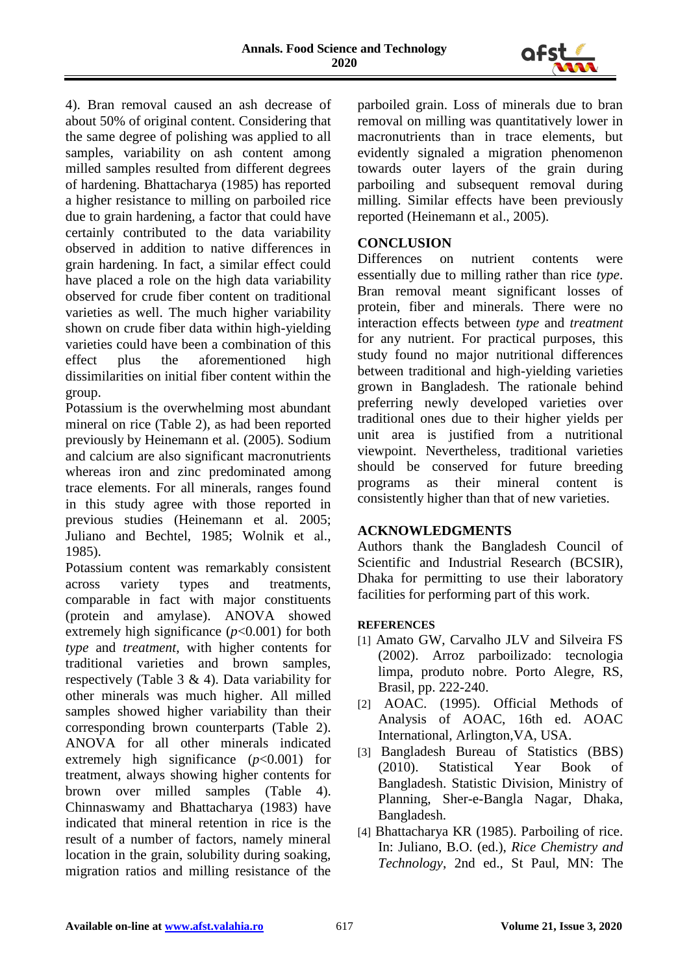

4). Bran removal caused an ash decrease of about 50% of original content. Considering that the same degree of polishing was applied to all samples, variability on ash content among milled samples resulted from different degrees of hardening. Bhattacharya (1985) has reported a higher resistance to milling on parboiled rice due to grain hardening, a factor that could have certainly contributed to the data variability observed in addition to native differences in grain hardening. In fact, a similar effect could have placed a role on the high data variability observed for crude fiber content on traditional varieties as well. The much higher variability shown on crude fiber data within high-yielding varieties could have been a combination of this effect plus the aforementioned high dissimilarities on initial fiber content within the group.

Potassium is the overwhelming most abundant mineral on rice (Table 2), as had been reported previously by Heinemann et al. (2005). Sodium and calcium are also significant macronutrients whereas iron and zinc predominated among trace elements. For all minerals, ranges found in this study agree with those reported in previous studies (Heinemann et al. 2005; Juliano and Bechtel, 1985; Wolnik et al., 1985).

Potassium content was remarkably consistent across variety types and treatments, comparable in fact with major constituents (protein and amylase). ANOVA showed extremely high significance  $(p<0.001)$  for both *type* and *treatment*, with higher contents for traditional varieties and brown samples, respectively (Table 3 & 4). Data variability for other minerals was much higher. All milled samples showed higher variability than their corresponding brown counterparts (Table 2). ANOVA for all other minerals indicated extremely high significance  $(p<0.001)$  for treatment, always showing higher contents for brown over milled samples (Table 4). Chinnaswamy and Bhattacharya (1983) have indicated that mineral retention in rice is the result of a number of factors, namely mineral location in the grain, solubility during soaking, migration ratios and milling resistance of the

parboiled grain. Loss of minerals due to bran removal on milling was quantitatively lower in macronutrients than in trace elements, but evidently signaled a migration phenomenon towards outer layers of the grain during parboiling and subsequent removal during milling. Similar effects have been previously reported (Heinemann et al., 2005).

## **CONCLUSION**

Differences on nutrient contents were essentially due to milling rather than rice *type*. Bran removal meant significant losses of protein, fiber and minerals. There were no interaction effects between *type* and *treatment* for any nutrient. For practical purposes, this study found no major nutritional differences between traditional and high-yielding varieties grown in Bangladesh. The rationale behind preferring newly developed varieties over traditional ones due to their higher yields per unit area is justified from a nutritional viewpoint. Nevertheless, traditional varieties should be conserved for future breeding programs as their mineral content is consistently higher than that of new varieties.

## **ACKNOWLEDGMENTS**

Authors thank the Bangladesh Council of Scientific and Industrial Research (BCSIR), Dhaka for permitting to use their laboratory facilities for performing part of this work.

#### **REFERENCES**

- [1] Amato GW, Carvalho JLV and Silveira FS (2002). Arroz parboilizado: tecnologia limpa, produto nobre. Porto Alegre, RS, Brasil, pp. 222-240.
- [2] AOAC. (1995). Official Methods of Analysis of AOAC, 16th ed. AOAC International, Arlington,VA, USA.
- [3] Bangladesh Bureau of Statistics (BBS) (2010). Statistical Year Book of Bangladesh. Statistic Division, Ministry of Planning, Sher-e-Bangla Nagar, Dhaka, Bangladesh.
- [4] Bhattacharya KR (1985). Parboiling of rice. In: Juliano, B.O. (ed.), *Rice Chemistry and Technology*, 2nd ed., St Paul, MN: The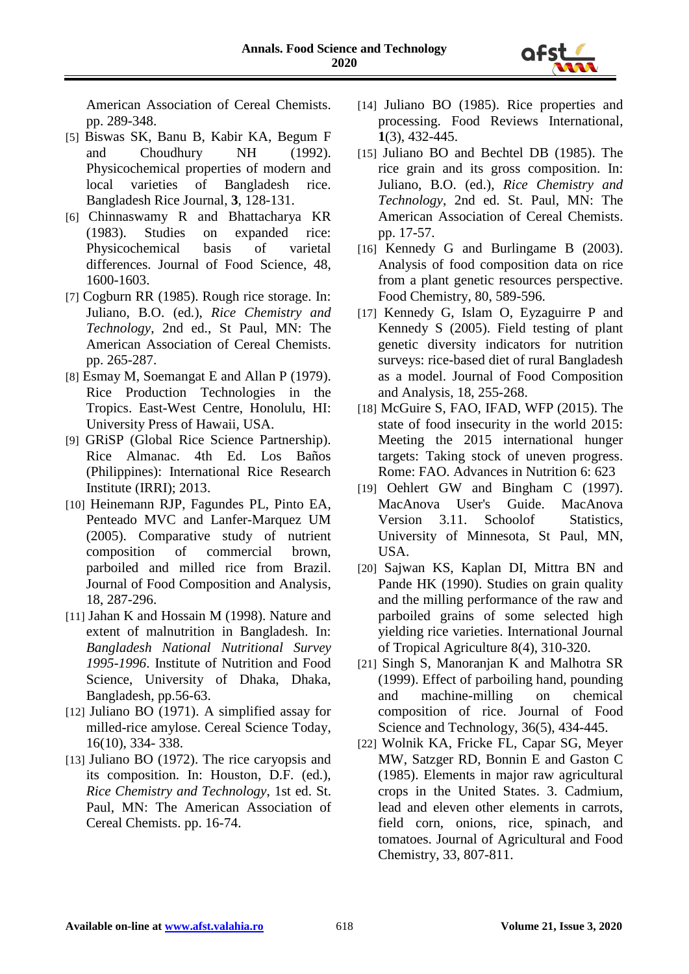American Association of Cereal Chemists. pp. 289-348.

- [5] Biswas SK, Banu B, Kabir KA, Begum F and Choudhury NH (1992). Physicochemical properties of modern and local varieties of Bangladesh rice. Bangladesh Rice Journal, **3**, 128-131.
- [6] Chinnaswamy R and Bhattacharya KR (1983). Studies on expanded rice: Physicochemical basis of varietal differences. Journal of Food Science, 48, 1600-1603.
- [7] Cogburn RR (1985). Rough rice storage. In: Juliano, B.O. (ed.), *Rice Chemistry and Technology*, 2nd ed., St Paul, MN: The American Association of Cereal Chemists. pp. 265-287.
- [8] Esmay M, Soemangat E and Allan P (1979). Rice Production Technologies in the Tropics. East-West Centre, Honolulu, HI: University Press of Hawaii, USA.
- [9] GRiSP (Global Rice Science Partnership). Rice Almanac. 4th Ed. Los Baños (Philippines): International Rice Research Institute (IRRI); 2013.
- [10] Heinemann RJP, Fagundes PL, Pinto EA, Penteado MVC and Lanfer-Marquez UM (2005). Comparative study of nutrient composition of commercial brown, parboiled and milled rice from Brazil. Journal of Food Composition and Analysis, 18, 287-296.
- [11] Jahan K and Hossain M (1998). Nature and extent of malnutrition in Bangladesh. In: *Bangladesh National Nutritional Survey 1995-1996*. Institute of Nutrition and Food Science, University of Dhaka, Dhaka, Bangladesh, pp.56-63.
- [12] Juliano BO (1971). A simplified assay for milled-rice amylose. Cereal Science Today, 16(10), 334- 338.
- [13] Juliano BO (1972). The rice caryopsis and its composition. In: Houston, D.F. (ed.), *Rice Chemistry and Technology*, 1st ed. St. Paul, MN: The American Association of Cereal Chemists. pp. 16-74.
- [14] Juliano BO (1985). Rice properties and processing. Food Reviews International, **1**(3), 432-445.
- [15] Juliano BO and Bechtel DB (1985). The rice grain and its gross composition. In: Juliano, B.O. (ed.), *Rice Chemistry and Technology*, 2nd ed. St. Paul, MN: The American Association of Cereal Chemists. pp. 17-57.
- [16] Kennedy G and Burlingame B (2003). Analysis of food composition data on rice from a plant genetic resources perspective. Food Chemistry, 80, 589-596.
- [17] Kennedy G, Islam O, Eyzaguirre P and Kennedy S (2005). Field testing of plant genetic diversity indicators for nutrition surveys: rice-based diet of rural Bangladesh as a model. Journal of Food Composition and Analysis, 18, 255-268.
- [18] McGuire S, FAO, IFAD, WFP (2015). The state of food insecurity in the world 2015: Meeting the 2015 international hunger targets: Taking stock of uneven progress. Rome: FAO. Advances in Nutrition 6: 623
- [19] Oehlert GW and Bingham C (1997). MacAnova User's Guide. MacAnova Version 3.11. Schoolof Statistics, University of Minnesota, St Paul, MN, USA.
- [20] Sajwan KS, Kaplan DI, Mittra BN and Pande HK (1990). Studies on grain quality and the milling performance of the raw and parboiled grains of some selected high yielding rice varieties. International Journal of Tropical Agriculture 8(4), 310-320.
- [21] Singh S, Manoranjan K and Malhotra SR (1999). Effect of parboiling hand, pounding and machine-milling on chemical composition of rice. Journal of Food Science and Technology, 36(5), 434-445.
- [22] Wolnik KA, Fricke FL, Capar SG, Meyer MW, Satzger RD, Bonnin E and Gaston C (1985). Elements in major raw agricultural crops in the United States. 3. Cadmium, lead and eleven other elements in carrots, field corn, onions, rice, spinach, and tomatoes. Journal of Agricultural and Food Chemistry, 33, 807-811.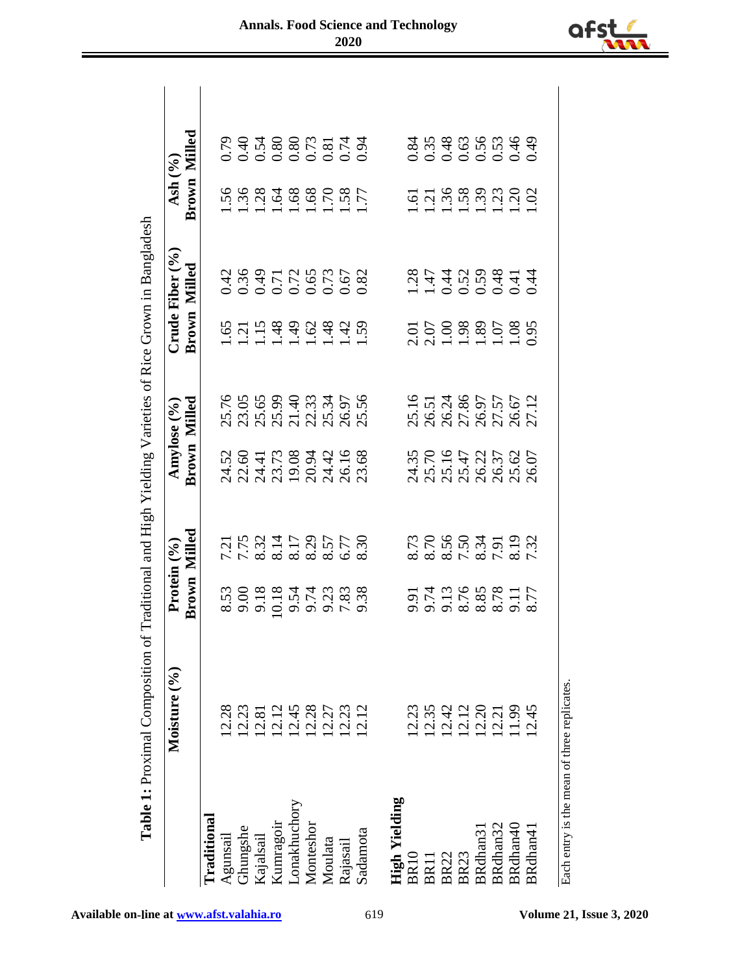| Milled<br>Brown<br>$\begin{array}{c} 1.56 \\ 1.38 \\ 1.11 \\ 1.16 \\ 1.08 \\ 1.08 \\ 1.08 \\ 1.08 \\ 1.07 \\ 1.08 \\ 1.07 \\ 1.08 \\ 1.07 \\ 1.08 \\ 1.07 \\ 1.08 \\ 1.07 \\ 1.07 \\ 1.07 \\ 1.07 \\ 1.07 \\ 1.07 \\ 1.07 \\ 1.07 \\ 1.07 \\ 1.07 \\ 1.07 \\ 1.07 \\ 1.07 \\ 1.07 \\ 1.07 \\ 1.07 \\ 1.07 \\ 1.07 \\ 1.07 \\ 1.$<br>$\frac{5}{1}$ $\frac{7}{1}$ $\frac{8}{1}$ $\frac{8}{1}$ $\frac{8}{1}$ $\frac{8}{1}$ $\frac{3}{1}$ $\frac{3}{1}$ $\frac{3}{1}$ $\frac{3}{1}$ $\frac{3}{1}$ $\frac{3}{1}$ $\frac{3}{1}$ $\frac{3}{1}$<br><b>Brown Milled</b><br>$1.198908829$ $1.198908429$ $1.198908429$<br>2.01<br>2.03 8.82 5.83<br>1.03 8.91 5.95<br>25.16<br>26.51<br>28.97.57<br>27.12<br>27.12<br><b>Brown Milled</b><br>2,500<br>2,600<br>2,73,73,800<br>2,800<br>2,800<br>2,800<br>2,800<br>24.35<br>25.16<br>26.37<br>26.07<br>26.07<br>Milled<br>$7.758$<br>$7.78317$<br>$7.78317$<br>$8.83888$<br>$8.777$<br>$8.777$<br>8.73<br>8.76<br>8.56<br>8.75<br>8.73<br>8.73<br>7.8<br>7.8<br>7.8<br>7.8<br>Brown<br>5.713.688217<br>5.713.688217<br>12.45<br>12.28<br>12.27<br>12.12<br>12.12<br>12.28<br>$\begin{array}{c} 12.42 \\ 12.12 \\ 13.21 \\ 12.1 \end{array}$<br>12.45<br>12.23<br>12.81<br>12.12<br>12.23<br>12.35<br>11.99<br><b>High Yielding</b><br>onakhuchory<br>raditional<br>Kunragoir<br>Monteshor<br>BRdhan31<br>BRdhan32<br>BRdhan40<br><b>Hungshe</b><br>BRdhan41<br>Sadamota<br>Kajalsail<br>Agunsail<br>Moulata<br>Rajasail<br>BR11<br>BR22<br>BR23<br><b>BR10</b> | Moisture (%) | Protein $(°0)$ |  | Amylose (%) | Crude Fiber $(%$ | Ash (%) |  |
|----------------------------------------------------------------------------------------------------------------------------------------------------------------------------------------------------------------------------------------------------------------------------------------------------------------------------------------------------------------------------------------------------------------------------------------------------------------------------------------------------------------------------------------------------------------------------------------------------------------------------------------------------------------------------------------------------------------------------------------------------------------------------------------------------------------------------------------------------------------------------------------------------------------------------------------------------------------------------------------------------------------------------------------------------------------------------------------------------------------------------------------------------------------------------------------------------------------------------------------------------------------------------------------------------------------------------------------------------------------------------------------------------------------------------------------------------------------------------------------------------|--------------|----------------|--|-------------|------------------|---------|--|
|                                                                                                                                                                                                                                                                                                                                                                                                                                                                                                                                                                                                                                                                                                                                                                                                                                                                                                                                                                                                                                                                                                                                                                                                                                                                                                                                                                                                                                                                                                    |              |                |  |             |                  |         |  |
|                                                                                                                                                                                                                                                                                                                                                                                                                                                                                                                                                                                                                                                                                                                                                                                                                                                                                                                                                                                                                                                                                                                                                                                                                                                                                                                                                                                                                                                                                                    |              |                |  |             |                  |         |  |
|                                                                                                                                                                                                                                                                                                                                                                                                                                                                                                                                                                                                                                                                                                                                                                                                                                                                                                                                                                                                                                                                                                                                                                                                                                                                                                                                                                                                                                                                                                    |              |                |  |             |                  |         |  |
|                                                                                                                                                                                                                                                                                                                                                                                                                                                                                                                                                                                                                                                                                                                                                                                                                                                                                                                                                                                                                                                                                                                                                                                                                                                                                                                                                                                                                                                                                                    |              |                |  |             |                  |         |  |
|                                                                                                                                                                                                                                                                                                                                                                                                                                                                                                                                                                                                                                                                                                                                                                                                                                                                                                                                                                                                                                                                                                                                                                                                                                                                                                                                                                                                                                                                                                    |              |                |  |             |                  |         |  |
|                                                                                                                                                                                                                                                                                                                                                                                                                                                                                                                                                                                                                                                                                                                                                                                                                                                                                                                                                                                                                                                                                                                                                                                                                                                                                                                                                                                                                                                                                                    |              |                |  |             |                  |         |  |
|                                                                                                                                                                                                                                                                                                                                                                                                                                                                                                                                                                                                                                                                                                                                                                                                                                                                                                                                                                                                                                                                                                                                                                                                                                                                                                                                                                                                                                                                                                    |              |                |  |             |                  |         |  |
|                                                                                                                                                                                                                                                                                                                                                                                                                                                                                                                                                                                                                                                                                                                                                                                                                                                                                                                                                                                                                                                                                                                                                                                                                                                                                                                                                                                                                                                                                                    |              |                |  |             |                  |         |  |
|                                                                                                                                                                                                                                                                                                                                                                                                                                                                                                                                                                                                                                                                                                                                                                                                                                                                                                                                                                                                                                                                                                                                                                                                                                                                                                                                                                                                                                                                                                    |              |                |  |             |                  |         |  |
|                                                                                                                                                                                                                                                                                                                                                                                                                                                                                                                                                                                                                                                                                                                                                                                                                                                                                                                                                                                                                                                                                                                                                                                                                                                                                                                                                                                                                                                                                                    |              |                |  |             |                  |         |  |
|                                                                                                                                                                                                                                                                                                                                                                                                                                                                                                                                                                                                                                                                                                                                                                                                                                                                                                                                                                                                                                                                                                                                                                                                                                                                                                                                                                                                                                                                                                    |              |                |  |             |                  |         |  |
|                                                                                                                                                                                                                                                                                                                                                                                                                                                                                                                                                                                                                                                                                                                                                                                                                                                                                                                                                                                                                                                                                                                                                                                                                                                                                                                                                                                                                                                                                                    |              |                |  |             |                  |         |  |
|                                                                                                                                                                                                                                                                                                                                                                                                                                                                                                                                                                                                                                                                                                                                                                                                                                                                                                                                                                                                                                                                                                                                                                                                                                                                                                                                                                                                                                                                                                    |              |                |  |             |                  |         |  |
|                                                                                                                                                                                                                                                                                                                                                                                                                                                                                                                                                                                                                                                                                                                                                                                                                                                                                                                                                                                                                                                                                                                                                                                                                                                                                                                                                                                                                                                                                                    |              |                |  |             |                  |         |  |
|                                                                                                                                                                                                                                                                                                                                                                                                                                                                                                                                                                                                                                                                                                                                                                                                                                                                                                                                                                                                                                                                                                                                                                                                                                                                                                                                                                                                                                                                                                    |              |                |  |             |                  |         |  |
|                                                                                                                                                                                                                                                                                                                                                                                                                                                                                                                                                                                                                                                                                                                                                                                                                                                                                                                                                                                                                                                                                                                                                                                                                                                                                                                                                                                                                                                                                                    |              |                |  |             |                  |         |  |
|                                                                                                                                                                                                                                                                                                                                                                                                                                                                                                                                                                                                                                                                                                                                                                                                                                                                                                                                                                                                                                                                                                                                                                                                                                                                                                                                                                                                                                                                                                    |              |                |  |             |                  |         |  |
|                                                                                                                                                                                                                                                                                                                                                                                                                                                                                                                                                                                                                                                                                                                                                                                                                                                                                                                                                                                                                                                                                                                                                                                                                                                                                                                                                                                                                                                                                                    |              |                |  |             |                  |         |  |
|                                                                                                                                                                                                                                                                                                                                                                                                                                                                                                                                                                                                                                                                                                                                                                                                                                                                                                                                                                                                                                                                                                                                                                                                                                                                                                                                                                                                                                                                                                    |              |                |  |             |                  |         |  |
|                                                                                                                                                                                                                                                                                                                                                                                                                                                                                                                                                                                                                                                                                                                                                                                                                                                                                                                                                                                                                                                                                                                                                                                                                                                                                                                                                                                                                                                                                                    |              |                |  |             |                  |         |  |



**Available on-line a[t www.afst.valahia.ro](http://www.afst.valahia.ro/)** 619 **Volume 21, Issue 3, 2020** 

Each entry is the mean of three replicates.

Each entry is the mean of three replicates.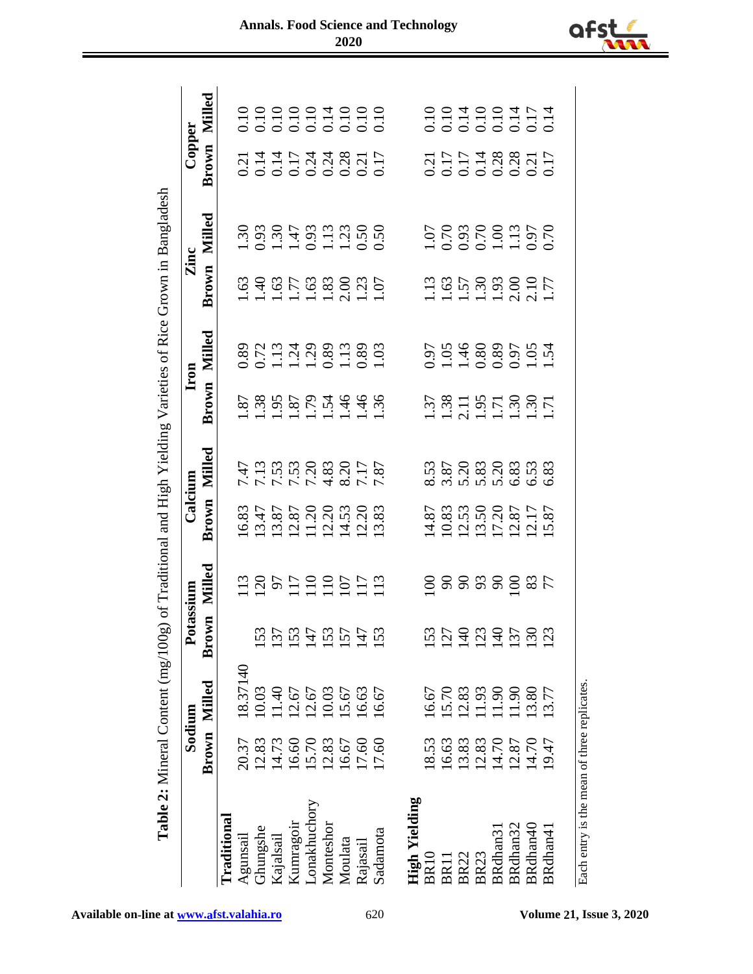|                                             |       | Table 2: Mineral Content (mg/100g |            |          |                                                                                                                                   |                               |                                                                                                                                                                                                                                                                                                               |                                                       |                                                                                                                                                                                                                                                                                                               | of Traditional and High Yielding Varieties of Rice Grown in Bangladesh                                                                                                                                                                                                                                        |                                  |                                              |
|---------------------------------------------|-------|-----------------------------------|------------|----------|-----------------------------------------------------------------------------------------------------------------------------------|-------------------------------|---------------------------------------------------------------------------------------------------------------------------------------------------------------------------------------------------------------------------------------------------------------------------------------------------------------|-------------------------------------------------------|---------------------------------------------------------------------------------------------------------------------------------------------------------------------------------------------------------------------------------------------------------------------------------------------------------------|---------------------------------------------------------------------------------------------------------------------------------------------------------------------------------------------------------------------------------------------------------------------------------------------------------------|----------------------------------|----------------------------------------------|
|                                             |       | Sodium                            | Potassium  |          | Calcium                                                                                                                           |                               |                                                                                                                                                                                                                                                                                                               | Iron                                                  | Zinc                                                                                                                                                                                                                                                                                                          |                                                                                                                                                                                                                                                                                                               | Copper                           |                                              |
|                                             | Brown | Milled                            | E<br>Brow  | Milled   | Brown                                                                                                                             | Milled                        | Brown                                                                                                                                                                                                                                                                                                         | Milled                                                | Brown                                                                                                                                                                                                                                                                                                         | Milled                                                                                                                                                                                                                                                                                                        | Brown                            | Milled                                       |
| Traditional                                 |       |                                   |            |          |                                                                                                                                   |                               |                                                                                                                                                                                                                                                                                                               |                                                       |                                                                                                                                                                                                                                                                                                               |                                                                                                                                                                                                                                                                                                               |                                  |                                              |
| Agunsail                                    | 20.37 | 8.37140                           |            |          |                                                                                                                                   |                               |                                                                                                                                                                                                                                                                                                               |                                                       |                                                                                                                                                                                                                                                                                                               |                                                                                                                                                                                                                                                                                                               |                                  |                                              |
| Ghungshe                                    | 12.83 | 10.03                             | 53         |          |                                                                                                                                   |                               |                                                                                                                                                                                                                                                                                                               |                                                       |                                                                                                                                                                                                                                                                                                               |                                                                                                                                                                                                                                                                                                               |                                  |                                              |
| Kajalsail                                   | 14.73 | 1.40                              | 137        |          | 16.83<br>13.47<br>13.87                                                                                                           | 7778300778777777777           |                                                                                                                                                                                                                                                                                                               | 0.89<br>0.713,298,13,29<br>0.113,299,13,29<br>0.10,29 | $\begin{array}{c} 1.63 \\ 1.40 \\ 1.75 \\ 1.63 \\ 1.33 \\ 1.07 \\ 1.07 \\ 1.07 \\ \end{array}$                                                                                                                                                                                                                | $\begin{array}{c} 30.93 \\ 1.93 \\ 1.43 \\ 1.53 \\ 1.53 \\ 1.60 \\ 1.73 \\ 1.80 \\ 1.73 \\ 1.73 \\ 1.80 \\ 1.90 \\ 1.90 \\ 1.90 \\ 1.90 \\ 1.90 \\ 1.90 \\ 1.90 \\ 1.90 \\ 1.90 \\ 1.90 \\ 1.90 \\ 1.90 \\ 1.90 \\ 1.90 \\ 1.90 \\ 1.90 \\ 1.90 \\ 1.90 \\ 1.90 \\ 1.90 \\ 1.90 \\ 1.90 \\ 1.90 \\ 1.90 \\ 1$ |                                  | 0.10<br>0.10<br>0.10<br>0.10<br>0.10<br>0.10 |
| Kumragoir                                   | 16.60 | 2.67                              | 153        |          |                                                                                                                                   |                               |                                                                                                                                                                                                                                                                                                               |                                                       |                                                                                                                                                                                                                                                                                                               |                                                                                                                                                                                                                                                                                                               |                                  |                                              |
| Lonakhuchory                                | 15.70 | 2.67                              | 147        |          |                                                                                                                                   |                               |                                                                                                                                                                                                                                                                                                               |                                                       |                                                                                                                                                                                                                                                                                                               |                                                                                                                                                                                                                                                                                                               |                                  |                                              |
| Monteshor                                   | 12.83 | 10.03                             | 153        |          | $\begin{array}{c} 12.87 \\ 11.20 \\ 12.31 \\ 14.53 \\ 12.20 \\ 13.83 \\ \hline \end{array}$                                       |                               |                                                                                                                                                                                                                                                                                                               |                                                       |                                                                                                                                                                                                                                                                                                               |                                                                                                                                                                                                                                                                                                               |                                  |                                              |
| Moulata                                     | 16.67 | 5.67                              | 157        |          |                                                                                                                                   |                               |                                                                                                                                                                                                                                                                                                               |                                                       |                                                                                                                                                                                                                                                                                                               |                                                                                                                                                                                                                                                                                                               |                                  |                                              |
| Rajasail                                    | 17.60 | .6.63                             | 147        |          |                                                                                                                                   |                               |                                                                                                                                                                                                                                                                                                               |                                                       |                                                                                                                                                                                                                                                                                                               |                                                                                                                                                                                                                                                                                                               |                                  |                                              |
| Sadamota                                    | 17.60 | 16.67                             | <b>153</b> |          |                                                                                                                                   |                               |                                                                                                                                                                                                                                                                                                               |                                                       |                                                                                                                                                                                                                                                                                                               |                                                                                                                                                                                                                                                                                                               |                                  |                                              |
|                                             |       |                                   |            |          |                                                                                                                                   |                               |                                                                                                                                                                                                                                                                                                               |                                                       |                                                                                                                                                                                                                                                                                                               |                                                                                                                                                                                                                                                                                                               |                                  |                                              |
| <b>High Yielding</b>                        |       |                                   |            |          |                                                                                                                                   |                               |                                                                                                                                                                                                                                                                                                               |                                                       |                                                                                                                                                                                                                                                                                                               |                                                                                                                                                                                                                                                                                                               |                                  |                                              |
| <b>BR10</b>                                 | 18.53 | 16.67                             | <b>53</b>  |          |                                                                                                                                   |                               |                                                                                                                                                                                                                                                                                                               |                                                       |                                                                                                                                                                                                                                                                                                               |                                                                                                                                                                                                                                                                                                               |                                  |                                              |
| BR11                                        | 16.63 | 15.70                             | 127        |          |                                                                                                                                   |                               |                                                                                                                                                                                                                                                                                                               |                                                       |                                                                                                                                                                                                                                                                                                               |                                                                                                                                                                                                                                                                                                               |                                  |                                              |
| <b>BR22</b>                                 | 13.83 | 2.83                              | 140        |          |                                                                                                                                   |                               |                                                                                                                                                                                                                                                                                                               |                                                       |                                                                                                                                                                                                                                                                                                               |                                                                                                                                                                                                                                                                                                               |                                  |                                              |
| <b>BR23</b>                                 | 12.83 | 1.93                              | 123        |          |                                                                                                                                   |                               |                                                                                                                                                                                                                                                                                                               |                                                       |                                                                                                                                                                                                                                                                                                               |                                                                                                                                                                                                                                                                                                               |                                  |                                              |
| BRdhan31                                    | 14.70 | 1.90                              | 140        | 38888825 | $\begin{array}{l} 14.87 \\ 10.83 \\ 11.50 \\ 13.50 \\ 17.20 \\ 17.87 \\ 19.87 \\ 11.87 \\ 15.87 \\ 15.87 \\ 15.87 \\ \end{array}$ | 53<br>82030030303<br>82030000 | $\begin{array}{c} 1.37 \\ 1.38 \\ 2.11 \\ 1.59 \\ 1.71 \\ 1.30 \\ 1.71 \\ 1.71 \\ 1.71 \\ 1.71 \\ 1.71 \\ 1.71 \\ 1.71 \\ 1.71 \\ 1.71 \\ 1.71 \\ 1.71 \\ 1.71 \\ 1.72 \\ 1.73 \\ 1.73 \\ 1.74 \\ 1.75 \\ 1.75 \\ 1.77 \\ 1.79 \\ 1.79 \\ 1.79 \\ 1.71 \\ 1.73 \\ 1.75 \\ 1.75 \\ 1.79 \\ 1.79 \\ 1.79 \\ 1.$ | 0.97<br>0.98805154<br>0.00001.54                      | $\begin{array}{c} 1.13 \\ 1.63 \\ 1.57 \\ 1.39 \\ 1.30 \\ 2.17 \\ 1.71 \\ 2.17 \\ 1.71 \\ 1.71 \\ 1.72 \\ 1.73 \\ 1.74 \\ 1.75 \\ 1.77 \\ 1.78 \\ 1.79 \\ 1.79 \\ 1.79 \\ 1.79 \\ 1.79 \\ 1.79 \\ 1.79 \\ 1.79 \\ 1.79 \\ 1.79 \\ 1.79 \\ 1.79 \\ 1.79 \\ 1.79 \\ 1.79 \\ 1.79 \\ 1.79 \\ 1.79 \\ 1.79 \\ 1.$ | 1.07<br>0.70<br>0.01.13<br>0.70<br>0.02                                                                                                                                                                                                                                                                       | 2117<br>0.1714<br>0.0.28<br>0.17 | 0.10<br>0.10<br>0.10<br>0.11<br>0.11         |
| BRdhan32                                    | 12.87 | 1.90                              | 137        |          |                                                                                                                                   |                               |                                                                                                                                                                                                                                                                                                               |                                                       |                                                                                                                                                                                                                                                                                                               |                                                                                                                                                                                                                                                                                                               |                                  |                                              |
| BRdhan40                                    | 14.70 | 3.80                              | 130        |          |                                                                                                                                   |                               |                                                                                                                                                                                                                                                                                                               |                                                       |                                                                                                                                                                                                                                                                                                               |                                                                                                                                                                                                                                                                                                               |                                  |                                              |
| BRdhan41                                    | 19.47 | 3.77                              | <b>23</b>  |          |                                                                                                                                   |                               |                                                                                                                                                                                                                                                                                                               |                                                       |                                                                                                                                                                                                                                                                                                               |                                                                                                                                                                                                                                                                                                               |                                  |                                              |
|                                             |       |                                   |            |          |                                                                                                                                   |                               |                                                                                                                                                                                                                                                                                                               |                                                       |                                                                                                                                                                                                                                                                                                               |                                                                                                                                                                                                                                                                                                               |                                  |                                              |
| Each entry is the mean of three replicates. |       |                                   |            |          |                                                                                                                                   |                               |                                                                                                                                                                                                                                                                                                               |                                                       |                                                                                                                                                                                                                                                                                                               |                                                                                                                                                                                                                                                                                                               |                                  |                                              |





**Available on-line at www.afst.valahia.ro** 620 **Volume 21, Issue 3, 2020**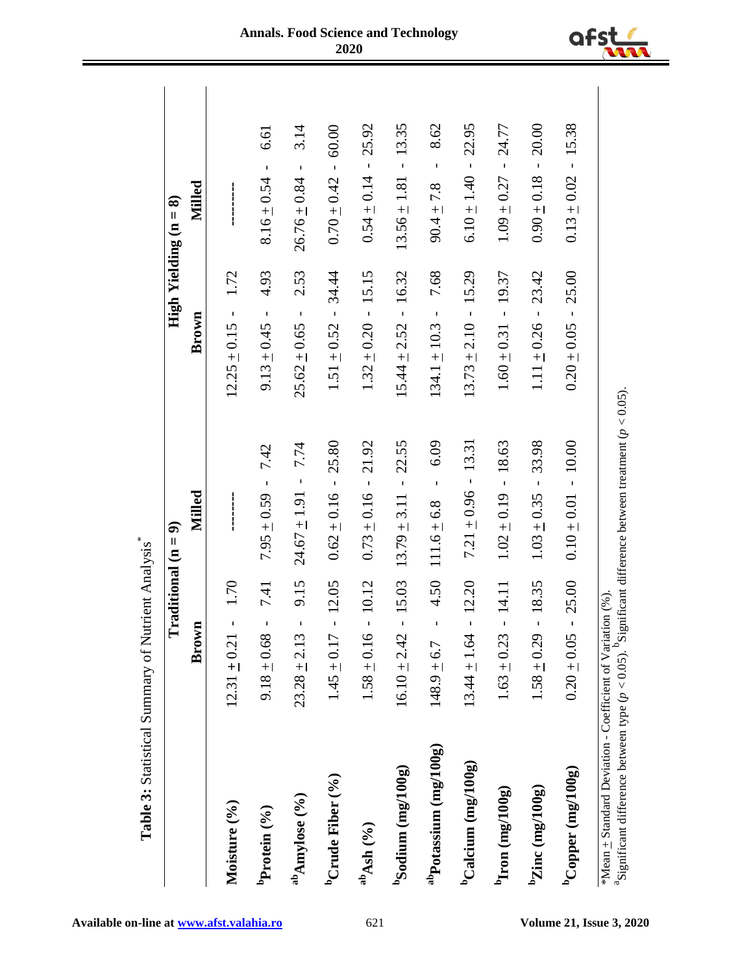|                                                     | $\Gamma$ raditional (n = 9)                 |                                                      | High Yielding $(n = 8)$                  |                                          |
|-----------------------------------------------------|---------------------------------------------|------------------------------------------------------|------------------------------------------|------------------------------------------|
|                                                     | Brown                                       | Milled                                               | Brown                                    | Milled                                   |
| Moisture (%)                                        | 1.70<br>J<br>$12.31 \pm 0.21$               | <br> <br> <br>                                       | 1.72<br>$12.25 \pm 0.15$ -               |                                          |
| ${}^{\rm b}$ Protein (%)                            | 7.41<br>ı<br>$9.18 \pm 0.68$                | 7.42<br>$\mathbf{I}$<br>$7.95 \pm 0.59$              | 4.93<br>$\mathbf{I}$<br>$9.13 \pm 0.45$  | 6.61<br>$\mathbf{I}$<br>$8.16 \pm 0.54$  |
| $a^b$ Amylose (%)                                   | 9.15<br>$23.28 \pm 2.13$                    | 7.74<br>$\overline{\phantom{a}}$<br>$24.67 \pm 1.91$ | 2.53<br>$\mathbf{I}$<br>$25.62 \pm 0.65$ | 3.14<br>$\mathbf{I}$<br>$26.76 \pm 0.84$ |
| ${}^{\rm b}{\rm Crad}$ e Fiber (%)                  | 12.05<br>$\mathbf{I}$<br>$1.45 \pm 0.17$    | 25.80<br>$0.62 \pm 0.16$ -                           | 34.44<br>$1.51 \pm 0.52$ -               | 60.00<br>$0.70 \pm 0.42$ -               |
| $a^{\rm b}{\rm Ash}~(9/6)$                          | 10.12<br>$1.58 \pm 0.16$                    | 21.92<br>$\bar{1}$<br>$0.73 \pm 0.16$                | 15.15<br>$1.32 \pm 0.20$ -               | 25.92<br>$\mathbf I$<br>$0.54 \pm 0.14$  |
| $b$ Sodium (mg/100g)                                | 15.03<br>$16.10 \pm 2.42$                   | $-22.55$<br>$13.79 \pm 3.11$                         | $15.44 \pm 2.52 - 16.32$                 | $13.56 \pm 1.81 - 13.35$                 |
| $a^{\text{th}}$ Potassium (mg/100g)                 | 4.50<br>$\mathbf I$<br>$148.9 + 6.7$        | 6.09<br>$\mathbf{I}$<br>$111.6 \pm 6.8$              | 7.68<br>$\bar{1}$<br>$134.1 \pm 10.3$    | 8.62<br>$\mathbf{I}$<br>$90.4 \pm 7.8$   |
| ${}^{\text{b}}$ Calcium (mg/100g)                   | 12.20<br>$\overline{1}$<br>$13.44 \pm 1.64$ | $7.21 \pm 0.96 - 13.31$                              | $13.73 \pm 2.10 - 15.29$                 | $6.10 \pm 1.40 - 22.95$                  |
| $\frac{\text{d} \Omega}{\text{d} \Omega}$ (mg/100g) | 14.11<br>l,<br>$1.63 \pm 0.23$              | 18.63<br>$1.02 \pm 0.19$                             | $1.60 \pm 0.31 - 19.37$                  | 24.77<br>$\bar{1}$<br>$1.09 \pm 0.27$    |
| $\frac{b_{\text{Zinc}}}{\text{image}(mg/100g)}$     | 18.35<br>$\mathbf{I}$<br>$1.58 \pm 0.29$    | 33.98<br>$\mathbf{I}$<br>$1.03 \pm 0.35$             | 23.42<br>$1.11 \pm 0.26$ -               | 20.00<br>$0.90 \pm 0.18$ -               |
| $^{\rm b}$ Copper (mg/100g)                         | 25.00<br>$0.20 \pm 0.05$                    | $-10.00$<br>$0.10 \pm 0.01$                          | 25.00<br>$0.20 \pm 0.05$ -               | 15.38<br>$0.13 \pm 0.02$ -               |

**Available on-line at <u>www.afst.valahia.ro</u> 621 <b>Volume 21, Issue 3, 2020**